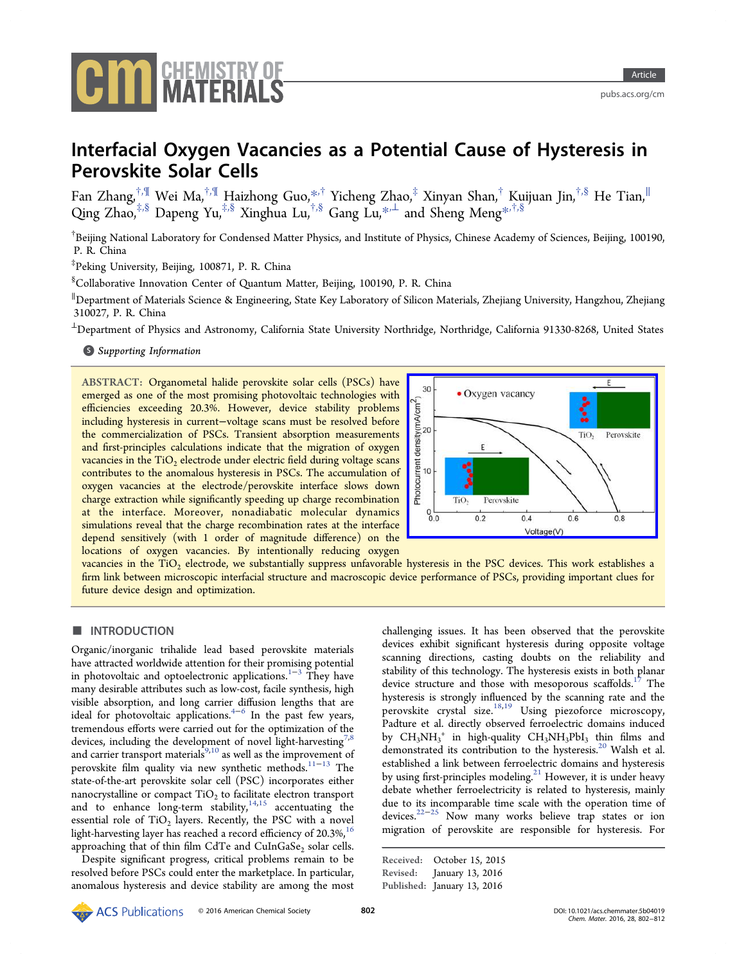

# Interfacial Oxygen Vacancies as a Potential Cause of Hysteresis in Perovskite Solar Cells

Fan Zhang, $^{\dagger,\P}$  Wei Ma, $^{\dagger,\P}$  Haizhong Guo, $^{*\dagger}$  Yicheng Zhao, $^{\ddagger}$  Xinyan Shan, $^{\dagger}$  Kuijuan Jin, $^{\dagger,\S}$  He Tian, $^{\parallel}$ Qing Zhao,<sup>‡,§</sup> Dapeng Y[u,](#page-8-0)<sup>‡[,](#page-8-0)§</sup> Xinghua Lu,<sup>†,§</sup> Gang Lu,<sup>\*,⊥</sup> and Sheng Meng<sup>\*,†,§</sup>

<sup>†</sup>Beijing National Laboratory for Condensed Matter Physics, and Inst[itu](#page-8-0)te of Physics, Chinese A[cad](#page-8-0)emy of Sciences, Beijing, 100190, P. R. China

‡ Peking University, Beijing, 100871, P. R. China

§ Collaborative Innovation Center of Quantum Matter, Beijing, 100190, P. R. China

∥ Department of Materials Science & Engineering, State Key Laboratory of Silicon Materials, Zhejiang University, Hangzhou, Zhejiang 310027, P. R. China

<sup>⊥</sup>Department of Physics and Astronomy, California State University Northridge, Northridge, California 91330-8268, United States

**S** Supporting Information

[AB](#page-8-0)STRACT: [Organometal](#page-8-0) halide perovskite solar cells (PSCs) have emerged as one of the most promising photovoltaic technologies with efficiencies exceeding 20.3%. However, device stability problems including hysteresis in current−voltage scans must be resolved before the commercialization of PSCs. Transient absorption measurements and first-principles calculations indicate that the migration of oxygen vacancies in the  $TiO<sub>2</sub>$  electrode under electric field during voltage scans contributes to the anomalous hysteresis in PSCs. The accumulation of oxygen vacancies at the electrode/perovskite interface slows down charge extraction while significantly speeding up charge recombination at the interface. Moreover, nonadiabatic molecular dynamics simulations reveal that the charge recombination rates at the interface depend sensitively (with 1 order of magnitude difference) on the locations of oxygen vacancies. By intentionally reducing oxygen



vacancies in the TiO<sub>2</sub> electrode, we substantially suppress unfavorable [hysteresis in the PSC devices. This work establishes a](http://pubsdc3.acs.org/action/showImage?doi=10.1021/acs.chemmater.5b04019&iName=master.img-000.jpg&w=206&h=134) firm link between microscopic interfacial structure and macroscopic device performance of PSCs, providing important clues for future device design and optimization.

# ■ INTRODUCTION

Organic/inorganic trihalide lead based perovskite materials have attracted worldwide attention for their promising potential in photovoltaic and optoelectronic applications.<sup>1−3</sup> They have many desirable attributes such as low-cost, facile synthesis, high visible absorption, and long carrier diffusion l[engt](#page-9-0)hs that are ideal for photovoltaic applications.<sup>4-6</sup> In the past few years, tremendous efforts were carried out for the optimization of the devices, including the development [of](#page-9-0) novel light-harvesting<sup>7,8</sup> and carrier transport materials<sup>9,10</sup> as well as the improvement of perovskite film quality via new synt[he](#page-9-0)tic methods.<sup>11−13</sup> The state-of-the-art perovskite sol[ar c](#page-9-0)ell (PSC) incorporates either n[an](#page-9-0)ocrystalline or compact  $TiO<sub>2</sub>$  to facilitate electro[n t](#page-9-0)ransport and to enhance long-term stability,  $14,15$  accentuating the essential role of  $TiO<sub>2</sub>$  layers. Recently, the PSC with a novel light-harvesting layer has reached a reco[rd e](#page-9-0)fficiency of  $20.3\%$ ,<sup>16</sup> approaching that of thin film CdTe and CuInGaSe<sub>2</sub> solar cells.

Despite significant progress, critical problems remain to [be](#page-9-0) resolved before PSCs could enter the marketplace. In particular, anomalous hysteresis and device stability are among the most challenging issues. It has been observed that the perovskite devices exhibit significant hysteresis during opposite voltage scanning directions, casting doubts on the reliability and stability of this technology. The hysteresis exists in both planar device structure and those with mesoporous scaffolds.<sup>17</sup> The hysteresis is strongly influenced by the scanning rate and the perovskite crystal size.18,19 Using piezoforce micr[osc](#page-9-0)opy, Padture et al. directly observed ferroelectric domains induced by  $CH_3NH_3^+$  in high-[qualit](#page-9-0)y  $CH_3NH_3PbI_3$  thin films and demonstrated its contribution to the hysteresis.<sup>20</sup> Walsh et al. established a link between ferroelectric domains and hysteresis by using first-principles modeling.<sup>21</sup> However, it [is](#page-9-0) under heavy debate whether ferroelectricity is related to hysteresis, mainly due to its incomparable time sca[le](#page-9-0) with the operation time of devices.22−<sup>25</sup> Now many works believe trap states or ion migration of perovskite are responsible for hysteresis. For

```
Received: October 15, 2015
Revised: January 13, 2016
Published: January 13, 2016
```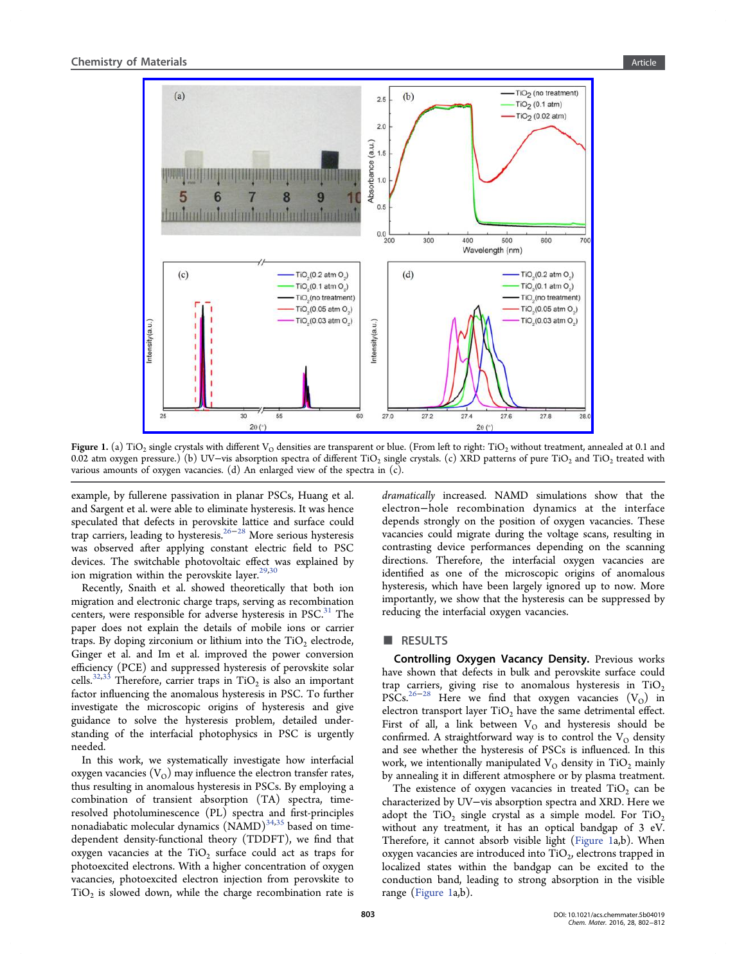<span id="page-1-0"></span>

Figure 1. (a) TiO<sub>2</sub> single crystals with different V<sub>O</sub> densities are transparent or blue. (From left to right: TiO<sub>2</sub> without treatment, annealed at 0.1 and 0.02 atm oxygen pressure.) (b) UV–vis absorption spectra of different TiO<sub>2</sub> single crystals. (c) XRD patterns of pure TiO<sub>2</sub> and TiO<sub>2</sub> treated with various amounts of oxygen vacancies. (d) An enlarged view of the spectra in (c).

example, by fullerene passivation in planar PSCs, Huang et al. and Sargent et al. were able to eliminate hysteresis. It was hence speculated that defects in perovskite lattice and surface could trap carriers, leading to hysteresis.26−<sup>28</sup> More serious hysteresis was observed after applying constant electric field to PSC devices. The switchable photovo[lta](#page-9-0)i[c e](#page-9-0)ffect was explained by ion migration within the perovskite layer. $29,30$ 

Recently, Snaith et al. showed theoretically that both ion migration and electronic charge traps, ser[ving a](#page-9-0)s recombination centers, were responsible for adverse hysteresis in PSC.<sup>31</sup> The paper does not explain the details of mobile ions or carrier traps. By doping zirconium or lithium into the  $TiO<sub>2</sub>$  ele[ctr](#page-9-0)ode, Ginger et al. and Im et al. improved the power conversion efficiency (PCE) and suppressed hysteresis of perovskite solar cells.<sup>32,33</sup> Therefore, carrier traps in TiO<sub>2</sub> is also an important factor influencing the anomalous hysteresis in PSC. To further inve[sti](#page-9-0)[gat](#page-10-0)e the microscopic origins of hysteresis and give guidance to solve the hysteresis problem, detailed understanding of the interfacial photophysics in PSC is urgently needed.

In this work, we systematically investigate how interfacial oxygen vacancies  $(V<sub>O</sub>)$  may influence the electron transfer rates, thus resulting in anomalous hysteresis in PSCs. By employing a combination of transient absorption (TA) spectra, timeresolved photoluminescence (PL) spectra and first-principles nonadiabatic molecular dynamics  $(NAMD)^{34,35}$  based on timedependent density-functional theory (TDDFT), we find that oxygen vacancies at the  $TiO<sub>2</sub>$  surface co[uld a](#page-10-0)ct as traps for photoexcited electrons. With a higher concentration of oxygen vacancies, photoexcited electron injection from perovskite to  $TiO<sub>2</sub>$  is slowed down, while the charge recombination rate is

dramatically increased. NAMD simulations show that the electron−hole recombination dynamics at the interface depends strongly on the position of oxygen vacancies. These vacancies could migrate during the voltage scans, resulting in contrasting device performances depending on the scanning directions. Therefore, the interfacial oxygen vacancies are identified as one of the microscopic origins of anomalous hysteresis, which have been largely ignored up to now. More importantly, we show that the hysteresis can be suppressed by reducing the interfacial oxygen vacancies.

## ■ RESULTS

Controlling Oxygen Vacancy Density. Previous works have shown that defects in bulk and perovskite surface could trap carriers, giving rise to anomalous hysteresis in  $TiO<sub>2</sub>$ PSCs.<sup>26−28</sup> Here we find that oxygen vacancies  $(V<sub>O</sub>)$  in electron transport layer  $TiO<sub>2</sub>$  have the same detrimental effect. First [of al](#page-9-0)l, a link between  $V<sub>O</sub>$  and hysteresis should be confirmed. A straightforward way is to control the  $V<sub>O</sub>$  density and see whether the hysteresis of PSCs is influenced. In this work, we intentionally manipulated  $V<sub>O</sub>$  density in TiO<sub>2</sub> mainly by annealing it in different atmosphere or by plasma treatment.

The existence of oxygen vacancies in treated  $TiO<sub>2</sub>$  can be characterized by UV−vis absorption spectra and XRD. Here we adopt the  $TiO<sub>2</sub>$  single crystal as a simple model. For  $TiO<sub>2</sub>$ without any treatment, it has an optical bandgap of 3 eV. Therefore, it cannot absorb visible light (Figure 1a,b). When oxygen vacancies are introduced into  $TiO<sub>2</sub>$ , electrons trapped in localized states within the bandgap can be excited to the conduction band, leading to strong absorption in the visible range (Figure 1a,b).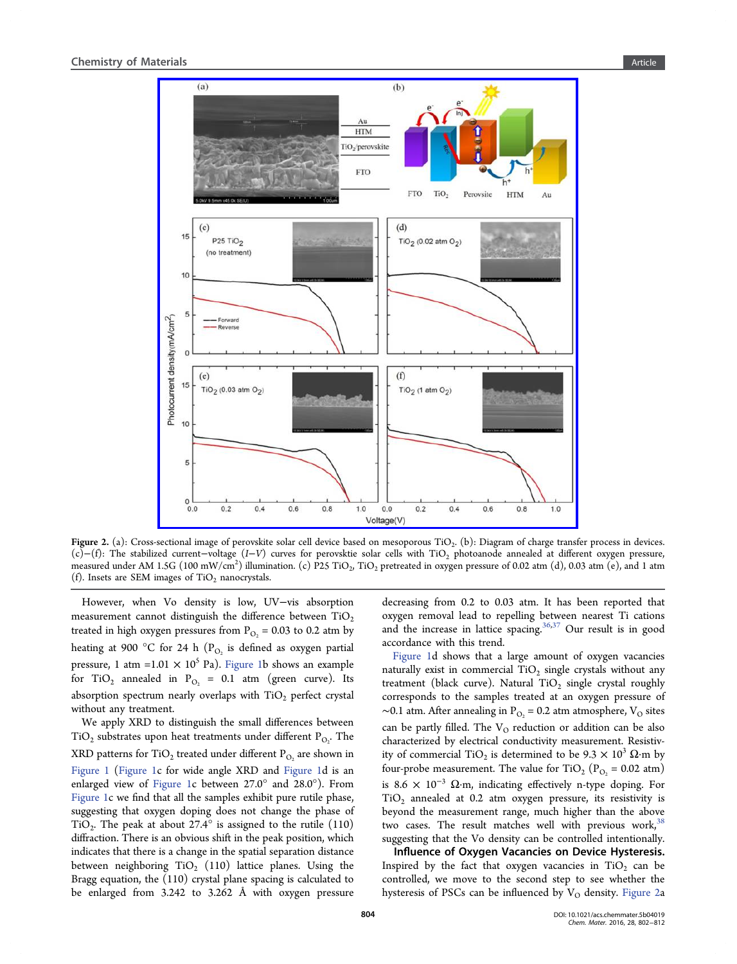<span id="page-2-0"></span>

Figure 2. (a): Cross-sectional image of perovskite solar cell device based on mesoporous TiO<sub>2</sub>. (b): Diagram of charge transfer process in devices. (c)−(f): The stabilized current−voltage (I−V) curves for perovsktie solar cells with TiO2 photoanode annealed at different oxygen pressure, measured under AM 1.5G (100 mW/cm<sup>2</sup>) illumination. (c) P25 TiO<sub>2</sub>, TiO<sub>2</sub> pretreated in oxygen pressure of 0.02 atm (d), 0.03 atm (e), and 1 atm (f). Insets are SEM images of  $TiO<sub>2</sub>$  nanocrystals.

However, when Vo density is low, UV−vis absorption measurement cannot distinguish the difference between  $TiO<sub>2</sub>$ treated in high oxygen pressures from  $P_{O_2}$  = 0.03 to 0.2 atm by heating at 900 °C for 24 h ( $P<sub>O<sub>2</sub></sub>$  is defined as oxygen partial pressure, 1 atm =1.01  $\times$  10<sup>5</sup> Pa). Figure 1b shows an example for TiO<sub>2</sub> annealed in P<sub>O2</sub> = 0.1 atm (green curve). Its absorption spectrum nearly overl[aps with](#page-1-0)  $TiO<sub>2</sub>$  perfect crystal without any treatment.

We apply XRD to distinguish the small differences between  $TiO<sub>2</sub>$  substrates upon heat treatments under different  $P<sub>O<sub>2</sub></sub>$ . The XRD patterns for  $TiO<sub>2</sub>$  treated under different  $P<sub>O<sub>2</sub>}</sub>$  are shown in Figure 1 (Figure 1c for wide angle XRD and Figure 1d is an enlarged view of Figure 1c between 27.0° and 28.0°). From [Figure 1c](#page-1-0) we fi[nd th](#page-1-0)at all the samples exhibit p[ure rutile](#page-1-0) phase, suggesting that o[xygen dop](#page-1-0)ing does not change the phase of TiO<sub>2</sub>. The peak at about 27.4 $\degree$  is assigned to the rutile (110) diffraction. There is an obvious shift in the peak position, which indicates that there is a change in the spatial separation distance between neighboring  $TiO<sub>2</sub>$  (110) lattice planes. Using the Bragg equation, the (110) crystal plane spacing is calculated to be enlarged from 3.242 to 3.262 Å with oxygen pressure

decreasing from 0.2 to 0.03 atm. It has been reported that oxygen removal lead to repelling between nearest Ti cations and the increase in lattice spacing.<sup>36,37</sup> Our result is in good accordance with this trend.

Figure 1d shows that a large a[moun](#page-10-0)t of oxygen vacancies naturally exist in commercial  $TiO<sub>2</sub>$  single crystals without any tr[eatment \(](#page-1-0)black curve). Natural  $TiO<sub>2</sub>$  single crystal roughly corresponds to the samples treated at an oxygen pressure of  $∼0.1$  atm. After annealing in P<sub>O<sub>2</sub></sub> = 0.2 atm atmosphere, V<sub>O</sub> sites can be partly filled. The  $V<sub>O</sub>$  reduction or addition can be also characterized by electrical conductivity measurement. Resistivity of commercial TiO<sub>2</sub> is determined to be  $9.3 \times 10^3 \Omega$ ·m by four-probe measurement. The value for TiO<sub>2</sub> ( $P_{O<sub>2</sub>}$  = 0.02 atm) is 8.6  $\times$  10<sup>-3</sup> Ω⋅m, indicating effectively n-type doping. For  $TiO<sub>2</sub>$  annealed at 0.2 atm oxygen pressure, its resistivity is beyond the measurement range, much higher than the above two cases. The result matches well with previous work,  $38$ suggesting that the Vo density can be controlled intentionally.

Influence of Oxygen Vacancies on Device Hysteres[is.](#page-10-0) Inspired by the fact that oxygen vacancies in  $TiO<sub>2</sub>$  can be controlled, we move to the second step to see whether the hysteresis of PSCs can be influenced by  $V<sub>O</sub>$  density. Figure 2a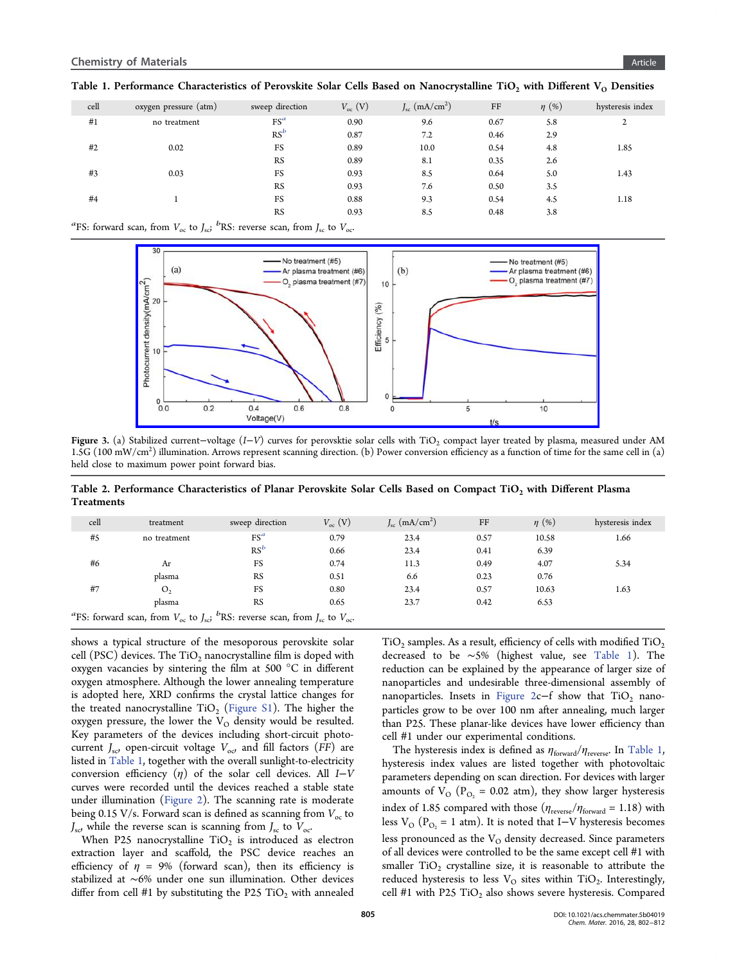<span id="page-3-0"></span>

| cell | oxygen pressure (atm) | sweep direction | $V_{oc}$ (V) | $J_{\rm sc}$ (mA/cm <sup>2</sup> ) | FF   | $\eta$ (%) | hysteresis index |
|------|-----------------------|-----------------|--------------|------------------------------------|------|------------|------------------|
| #1   | no treatment          | $FS^a$          | 0.90         | 9.6                                | 0.67 | 5.8        | 2                |
|      |                       | $RS^b$          | 0.87         | 7.2                                | 0.46 | 2.9        |                  |
| #2   | 0.02                  | FS              | 0.89         | 10.0                               | 0.54 | 4.8        | 1.85             |
|      |                       | <b>RS</b>       | 0.89         | 8.1                                | 0.35 | 2.6        |                  |
| #3   | 0.03                  | FS              | 0.93         | 8.5                                | 0.64 | 5.0        | 1.43             |
|      |                       | <b>RS</b>       | 0.93         | 7.6                                | 0.50 | 3.5        |                  |
| #4   |                       | FS              | 0.88         | 9.3                                | 0.54 | 4.5        | 1.18             |
|      |                       | <b>RS</b>       | 0.93         | 8.5                                | 0.48 | 3.8        |                  |
|      |                       |                 |              |                                    |      |            |                  |

<sup>a</sup>FS: forward scan, from  $V_{\text{oc}}$  to  $J_{\text{sc}}$ <sup>*b*</sup>RS: reverse scan, from  $J_{\text{sc}}$  to  $V_{\text{oc}}$ <sup>.</sup>



**Figure 3.** (a) Stabilized current–voltage (I–V) curves for perovsktie solar cells with TiO<sub>2</sub> compact layer treated by plasma, measured under AM 1.5G (100 mW/cm<sup>2</sup> [\) illumination. Arrows represent scanning direction. \(b\) Power conversion e](http://pubsdc3.acs.org/action/showImage?doi=10.1021/acs.chemmater.5b04019&iName=master.img-003.jpg&w=388&h=150)fficiency as a function of time for the same cell in (a) held close to maximum power point forward bias.

Table 2. Performance Characteristics of Planar Perovskite Solar Cells Based on Compact TiO<sub>2</sub> with Different Plasma Treatments

| cell                                                                                                                       | treatment      | sweep direction | $V_{\alpha c}$ (V) | $J_{\rm sc}$ (mA/cm <sup>2</sup> ) | FF   | $\eta$ (%) | hysteresis index |
|----------------------------------------------------------------------------------------------------------------------------|----------------|-----------------|--------------------|------------------------------------|------|------------|------------------|
| #5                                                                                                                         | no treatment   | $FS^a$          | 0.79               | 23.4                               | 0.57 | 10.58      | 1.66             |
|                                                                                                                            |                | $RS^b$          | 0.66               | 23.4                               | 0.41 | 6.39       |                  |
| #6                                                                                                                         | Ar             | FS              | 0.74               | 11.3                               | 0.49 | 4.07       | 5.34             |
|                                                                                                                            | plasma         | <b>RS</b>       | 0.51               | 6.6                                | 0.23 | 0.76       |                  |
| #7                                                                                                                         | O <sub>2</sub> | FS              | 0.80               | 23.4                               | 0.57 | 10.63      | 1.63             |
|                                                                                                                            | plasma         | <b>RS</b>       | 0.65               | 23.7                               | 0.42 | 6.53       |                  |
| <sup>a</sup> FS: forward scan, from $V_{oc}$ to $J_{sc}$ <sup><i>b</i></sup> RS: reverse scan, from $J_{sc}$ to $V_{oc}$ . |                |                 |                    |                                    |      |            |                  |

shows a typical structure of the mesoporous perovskite solar cell  $(PSC)$  devices. The TiO<sub>2</sub> nanocrystalline film is doped with oxygen vacancies by sintering the film at 500 °C in different oxygen atmosphere. Although the lower annealing temperature is adopted here, XRD confirms the crystal lattice changes for the treated nanocrystalline  $TiO<sub>2</sub>$  (Figure S1). The higher the oxygen pressure, the lower the  $V_{\rm O}$  density would be resulted. Key parameters of the devices in[cluding sh](http://pubs.acs.org/doi/suppl/10.1021/acs.chemmater.5b04019/suppl_file/cm5b04019_si_001.pdf)ort-circuit photocurrent  $J_{\rm sc}$ , open-circuit voltage  $V_{\rm oc}$ , and fill factors (FF) are listed in Table 1, together with the overall sunlight-to-electricity conversion efficiency  $(\eta)$  of the solar cell devices. All I–V curves were recorded until the devices reached a stable state under illumination (Figure 2). The scanning rate is moderate being 0.15 V/s. Forward scan is defined as scanning from  $V_{\text{oc}}$  to  $J_{\rm sc}$ , while the reverse [scan is s](#page-2-0)canning from  $J_{\rm sc}$  to  $V_{\rm oc}$ .

When P25 nanocrystalline  $TiO<sub>2</sub>$  is introduced as electron extraction layer and scaffold, the PSC device reaches an efficiency of  $\eta = 9\%$  (forward scan), then its efficiency is stabilized at ∼6% under one sun illumination. Other devices differ from cell #1 by substituting the P25 TiO<sub>2</sub> with annealed  $TiO<sub>2</sub>$  samples. As a result, efficiency of cells with modified  $TiO<sub>2</sub>$ decreased to be ∼5% (highest value, see Table 1). The reduction can be explained by the appearance of larger size of nanoparticles and undesirable three-dimensional assembly of nanoparticles. Insets in Figure  $2c-f$  show that TiO<sub>2</sub> nanoparticles grow to be over 100 nm after annealing, much larger than P25. These planar-l[ike device](#page-2-0)s have lower efficiency than cell #1 under our experimental conditions.

The hysteresis index is defined as  $\eta_{\text{forward}}/\eta_{\text{reverse}}$ . In Table 1, hysteresis index values are listed together with photovoltaic parameters depending on scan direction. For devices with larger amounts of  $V_{\text{O}}$  ( $P_{\text{O}_2}$  = 0.02 atm), they show larger hysteresis index of 1.85 compared with those  $(\eta_{\rm reverse}/\eta_{\rm forward}=1.18)$  with less V<sub>O</sub> (P<sub>O<sub>2</sub></sub> = 1 atm). It is noted that I–V hysteresis becomes less pronounced as the  $V<sub>O</sub>$  density decreased. Since parameters of all devices were controlled to be the same except cell #1 with smaller  $TiO<sub>2</sub>$  crystalline size, it is reasonable to attribute the reduced hysteresis to less  $V<sub>O</sub>$  sites within TiO<sub>2</sub>. Interestingly, cell #1 with P25  $TiO<sub>2</sub>$  also shows severe hysteresis. Compared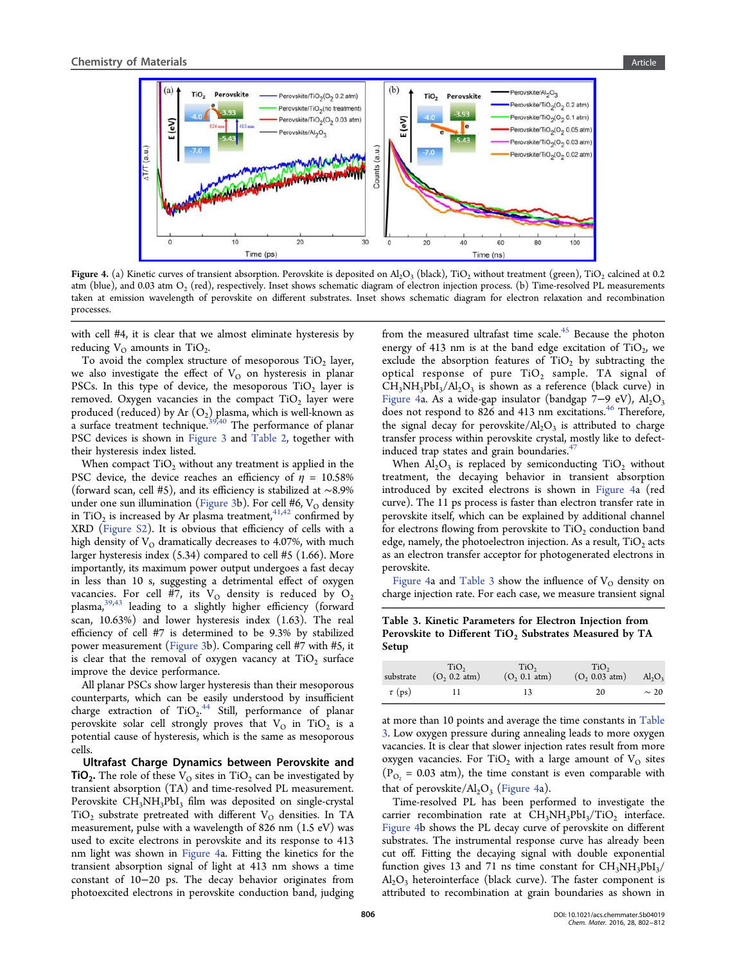

Figure 4. (a) Kinetic curves of transient absorption. Perovskite is deposited on Al<sub>2</sub>O<sub>3</sub> (black), TiO<sub>2</sub> without treatment (green), TiO<sub>2</sub> calcined at 0.2 atm (blue), and 0.03 atm  $O_2$  [\(red\), respectively. Inset shows schematic diagram of electron injection process. \(b\) Time-resolved](http://pubsdc3.acs.org/action/showImage?doi=10.1021/acs.chemmater.5b04019&iName=master.img-004.jpg&w=382&h=150) PL measurements taken at emission wavelength of perovskite on different substrates. Inset shows schematic diagram for electron relaxation and recombination processes.

with cell #4, it is clear that we almost eliminate hysteresis by reducing  $V_{O}$  amounts in TiO<sub>2</sub>.

To avoid the complex structure of mesoporous  $TiO<sub>2</sub>$  layer, we also investigate the effect of  $V<sub>O</sub>$  on hysteresis in planar PSCs. In this type of device, the mesoporous  $TiO<sub>2</sub>$  layer is removed. Oxygen vacancies in the compact  $TiO<sub>2</sub>$  layer were produced (reduced) by Ar  $(O_2)$  plasma, which is well-known as a surface treatment technique.<sup>39,40</sup> The performance of planar PSC devices is shown in Figure 3 and Table 2, together with their hysteresis index listed.

When compact  $TiO<sub>2</sub>$  w[ithout an](#page-3-0)y tre[atment is](#page-3-0) applied in the PSC device, the device reaches an efficiency of  $\eta = 10.58\%$ (forward scan, cell #5), and its efficiency is stabilized at ∼8.9% under one sun illumination (Figure 3b). For cell #6,  $V<sub>O</sub>$  density in  $TiO<sub>2</sub>$  is increased by Ar plasma treatment,<sup>41,42</sup> confirmed by XRD (Figure S2). It is obv[ious that](#page-3-0) efficiency of cells with a high density of  $V<sub>O</sub>$  dramatically decreases to [4.07](#page-10-0)%, with much larger [hysteresis i](http://pubs.acs.org/doi/suppl/10.1021/acs.chemmater.5b04019/suppl_file/cm5b04019_si_001.pdf)ndex (5.34) compared to cell #5 (1.66). More importantly, its maximum power output undergoes a fast decay in less than 10 s, suggesting a detrimental effect of oxygen vacancies. For cell #7, its  $V<sub>O</sub>$  density is reduced by  $O<sub>2</sub>$ plasma,39,43 leading to a slightly higher efficiency (forward scan, 10.63%) and lower hysteresis index (1.63). The real efficien[cy o](#page-10-0)f cell #7 is determined to be 9.3% by stabilized power measurement (Figure 3b). Comparing cell #7 with #5, it is clear that the removal of oxygen vacancy at  $TiO<sub>2</sub>$  surface improve the device p[erforman](#page-3-0)ce.

All planar PSCs show larger hysteresis than their mesoporous counterparts, which can be easily understood by insufficient charge extraction of TiO<sub>2</sub>.<sup>44</sup> Still, performance of planar perovskite solar cell strongly proves that  $V_O$  in TiO<sub>2</sub> is a potential cause of hysteresis, [w](#page-10-0)hich is the same as mesoporous cells.

Ultrafast Charge Dynamics between Perovskite and **TiO<sub>2</sub>.** The role of these  $V<sub>O</sub>$  sites in TiO<sub>2</sub> can be investigated by transient absorption (TA) and time-resolved PL measurement. Perovskite CH<sub>3</sub>NH<sub>3</sub>PbI<sub>3</sub> film was deposited on single-crystal  $TiO<sub>2</sub>$  substrate pretreated with different  $V<sub>O</sub>$  densities. In TA measurement, pulse with a wavelength of 826 nm (1.5 eV) was used to excite electrons in perovskite and its response to 413 nm light was shown in Figure 4a. Fitting the kinetics for the transient absorption signal of light at 413 nm shows a time constant of 10−20 ps. The decay behavior originates from photoexcited electrons in perovskite conduction band, judging from the measured ultrafast time scale. $45$  Because the photon energy of 413 nm is at the band edge excitation of  $TiO<sub>2</sub>$ , we exclude the absorption features of  $TiO<sub>2</sub>$  $TiO<sub>2</sub>$  $TiO<sub>2</sub>$  by subtracting the optical response of pure  $TiO<sub>2</sub>$  sample. TA signal of  $CH_3NH_3PbI_3/Al_2O_3$  is shown as a reference (black curve) in Figure 4a. As a wide-gap insulator (bandgap 7–9 eV),  $\text{Al}_2\text{O}_3$ does not respond to 826 and 413 nm excitations.<sup>46</sup> Therefore, the signal decay for perovskite/ $AI<sub>2</sub>O<sub>3</sub>$  is attributed to charge transfer process within perovskite crystal, mostly l[ike](#page-10-0) to defectinduced trap states and grain boundaries.<sup>4</sup>

When  $\text{Al}_2\text{O}_3$  is replaced by semiconducting TiO<sub>2</sub> without treatment, the decaying behavior in [tra](#page-10-0)nsient absorption introduced by excited electrons is shown in Figure 4a (red curve). The 11 ps process is faster than electron transfer rate in perovskite itself, which can be explained by additional channel for electrons flowing from perovskite to  $TiO<sub>2</sub>$  conduction band edge, namely, the photoelectron injection. As a result,  $TiO<sub>2</sub>$  acts as an electron transfer acceptor for photogenerated electrons in perovskite.

Figure 4a and Table 3 show the influence of  $V<sub>O</sub>$  density on charge injection rate. For each case, we measure transient signal

Table 3. Kinetic Parameters for Electron Injection from Perovskite to Different TiO<sub>2</sub> Substrates Measured by TA Setup

| substrate   | TiO <sub>2</sub><br>$(O, 0.2 \text{ atm})$ | TiO <sub>2</sub><br>$(O_2 0.1 atm)$ | TiO <sub>2</sub><br>$(O_2 0.03 atm)$ | $Al_2O_3$ |
|-------------|--------------------------------------------|-------------------------------------|--------------------------------------|-----------|
| $\tau$ (ps) |                                            | 13                                  | 20                                   | $\sim 20$ |

at more than 10 points and average the time constants in Table 3. Low oxygen pressure during annealing leads to more oxygen vacancies. It is clear that slower injection rates result from more oxygen vacancies. For TiO<sub>2</sub> with a large amount of  $V<sub>O</sub>$  sites  $(P_{O_2} = 0.03$  atm), the time constant is even comparable with that of perovskite/ $\text{Al}_2\text{O}_3$  (Figure 4a).

Time-resolved PL has been performed to investigate the carrier recombination rate at  $CH<sub>3</sub>NH<sub>3</sub>PbI<sub>3</sub>/TiO<sub>2</sub>$  interface. Figure 4b shows the PL decay curve of perovskite on different substrates. The instrumental response curve has already been cut off. Fitting the decaying signal with double exponential function gives 13 and 71 ns time constant for  $CH<sub>3</sub>NH<sub>3</sub>PbI<sub>3</sub>/$  $Al_2O_3$  heterointerface (black curve). The faster component is attributed to recombination at grain boundaries as shown in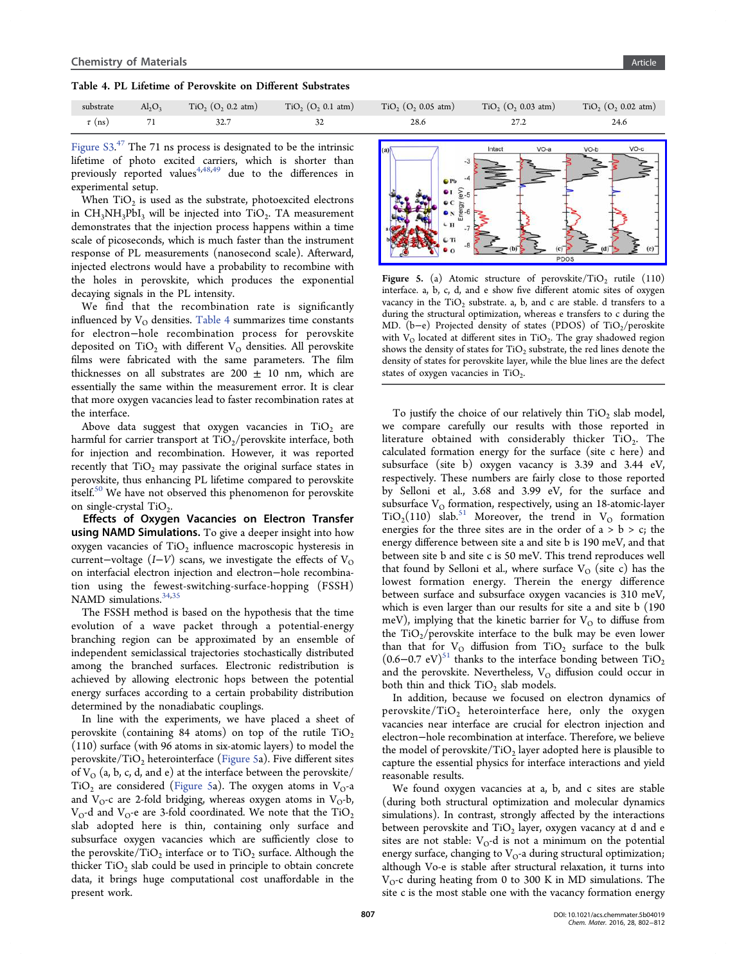<span id="page-5-0"></span>Table 4. PL Lifetime of Perovskite on Different Substrates

| substrate   | $Al_2O_3$ | $TiO2$ (O <sub>2</sub> 0.2 atm) | $TiO2$ (O <sub>2</sub> 0.1 atm) | $TiO2$ (O <sub>2</sub> 0.05 atm) | $TiO2$ (O <sub>2</sub> 0.03 atm) | $TiO2$ (O <sub>2</sub> 0.02 atm) |
|-------------|-----------|---------------------------------|---------------------------------|----------------------------------|----------------------------------|----------------------------------|
| $\tau$ (ns) |           |                                 |                                 | 28.6                             |                                  | 24.6                             |

Figure  $S3.47$  The 71 ns process is designated to be the intrinsic lifetime of photo excited carriers, which is shorter than [previously](http://pubs.acs.org/doi/suppl/10.1021/acs.chemmater.5b04019/suppl_file/cm5b04019_si_001.pdf) [r](#page-10-0)eported values<sup> $4,48,49$ </sup> due to the differences in experimental setup.

W[he](#page-9-0)n  $TiO<sub>2</sub>$  is used as the [sub](#page-10-0)strate, photoexcited electrons in  $CH_3NH_3PbI_3$  will be injected into TiO<sub>2</sub>. TA measurement demonstrates that the injection process happens within a time scale of picoseconds, which is much faster than the instrument response of PL measurements (nanosecond scale). Afterward, injected electrons would have a probability to recombine with the holes in perovskite, which produces the exponential decaying signals in the PL intensity.

We find that the recombination rate is significantly influenced by  $V_{\Omega}$  densities. Table 4 summarizes time constants for electron−hole recombination process for perovskite deposited on TiO<sub>2</sub> with different  $V<sub>O</sub>$  densities. All perovskite films were fabricated with the same parameters. The film thicknesses on all substrates are 200  $\pm$  10 nm, which are essentially the same within the measurement error. It is clear that more oxygen vacancies lead to faster recombination rates at the interface.

Above data suggest that oxygen vacancies in  $TiO<sub>2</sub>$  are harmful for carrier transport at  $TiO<sub>2</sub>/\text{perovskite interface, both}$ for injection and recombination. However, it was reported recently that  $TiO<sub>2</sub>$  may passivate the original surface states in perovskite, thus enhancing PL lifetime compared to perovskite itself.<sup>50</sup> We have not observed this phenomenon for perovskite on single-crystal  $TiO<sub>2</sub>$ .

Eff[ec](#page-10-0)ts of Oxygen Vacancies on Electron Transfer using NAMD Simulations. To give a deeper insight into how oxygen vacancies of  $TiO<sub>2</sub>$  influence macroscopic hysteresis in current–voltage  $(I-V)$  scans, we investigate the effects of V<sub>O</sub> on interfacial electron injection and electron−hole recombination using the fewest-switching-surface-hopping (FSSH) NAMD simulations.<sup>34,35</sup>

The FSSH method is based on the hypothesis that the time evolution of a w[ave](#page-10-0) packet through a potential-energy branching region can be approximated by an ensemble of independent semiclassical trajectories stochastically distributed among the branched surfaces. Electronic redistribution is achieved by allowing electronic hops between the potential energy surfaces according to a certain probability distribution determined by the nonadiabatic couplings.

In line with the experiments, we have placed a sheet of perovskite (containing 84 atoms) on top of the rutile  $TiO<sub>2</sub>$ (110) surface (with 96 atoms in six-atomic layers) to model the perovskite/TiO<sub>2</sub> heterointerface (Figure 5a). Five different sites of  $V_{\Omega}$  (a, b, c, d, and e) at the interface between the perovskite/ TiO<sub>2</sub> are considered (Figure 5a). The oxygen atoms in  $V_{O}$ -a and  $V_{O}$ -c are 2-fold bridging, whereas oxygen atoms in  $V_{O}$ -b,  $V_{\rm O}$ -d and  $V_{\rm O}$ -e are 3-fold coordinated. We note that the TiO<sub>2</sub> slab adopted here is thin, containing only surface and subsurface oxygen vacancies which are sufficiently close to the perovskite/TiO<sub>2</sub> interface or to TiO<sub>2</sub> surface. Although the thicker  $TiO<sub>2</sub>$  slab could be used in principle to obtain concrete data, it brings huge computational cost unaffordable in the present work.



Figure 5. (a) Atomic structure of perovskite/TiO<sub>2</sub> rutile (110) interface. a, b, c, d, and e show five different atomic sites of oxygen vacancy in the  $TiO<sub>2</sub>$  substrate. a, b, and c are stable. d transfers to a during the structural optimization, whereas e transfers to c during the MD. (b–e) Projected density of states (PDOS) of TiO<sub>2</sub>/peroskite with  $V_{\Omega}$  located at different sites in TiO<sub>2</sub>. The gray shadowed region shows the density of states for  $TiO<sub>2</sub>$  substrate, the red lines denote the density of states for perovskite layer, while the blue lines are the defect states of oxygen vacancies in  $TiO<sub>2</sub>$ .

To justify the choice of our relatively thin  $TiO<sub>2</sub>$  slab model, we compare carefully our results with those reported in literature obtained with considerably thicker  $TiO<sub>2</sub>$ . The calculated formation energy for the surface (site c here) and subsurface (site b) oxygen vacancy is 3.39 and 3.44 eV, respectively. These numbers are fairly close to those reported by Selloni et al., 3.68 and 3.99 eV, for the surface and subsurface  $V<sub>O</sub>$  formation, respectively, using an 18-atomic-layer  $TiO<sub>2</sub>(110)$  slab.<sup>51</sup> Moreover, the trend in V<sub>O</sub> formation energies for the three sites are in the order of  $a > b > c$ ; the energy differenc[e b](#page-10-0)etween site a and site b is 190 meV, and that between site b and site c is 50 meV. This trend reproduces well that found by Selloni et al., where surface  $V_{\Omega}$  (site c) has the lowest formation energy. Therein the energy difference between surface and subsurface oxygen vacancies is 310 meV, which is even larger than our results for site a and site b (190 meV), implying that the kinetic barrier for  $V<sub>O</sub>$  to diffuse from the  $TiO<sub>2</sub>/perovskite interface to the bulk may be even lower$ than that for  $V_{O}$  diffusion from  $TiO_{2}$  surface to the bulk  $(0.6-0.7 \text{ eV})^{51}$  thanks to the interface bonding between  $TiO<sub>2</sub>$ and the perovskite. Nevertheless,  $V<sub>O</sub>$  diffusion could occur in both thin an[d t](#page-10-0)hick  $TiO<sub>2</sub>$  slab models.

In addition, because we focused on electron dynamics of perovskite/ $TiO<sub>2</sub>$  heterointerface here, only the oxygen vacancies near interface are crucial for electron injection and electron−hole recombination at interface. Therefore, we believe the model of perovskite/TiO<sub>2</sub> layer adopted here is plausible to capture the essential physics for interface interactions and yield reasonable results.

We found oxygen vacancies at a, b, and c sites are stable (during both structural optimization and molecular dynamics simulations). In contrast, strongly affected by the interactions between perovskite and  $TiO<sub>2</sub>$  layer, oxygen vacancy at d and e sites are not stable:  $V_O$ -d is not a minimum on the potential energy surface, changing to  $V<sub>O</sub>$ -a during structural optimization; although Vo-e is stable after structural relaxation, it turns into  $V<sub>O</sub>$ -c during heating from 0 to 300 K in MD simulations. The site c is the most stable one with the vacancy formation energy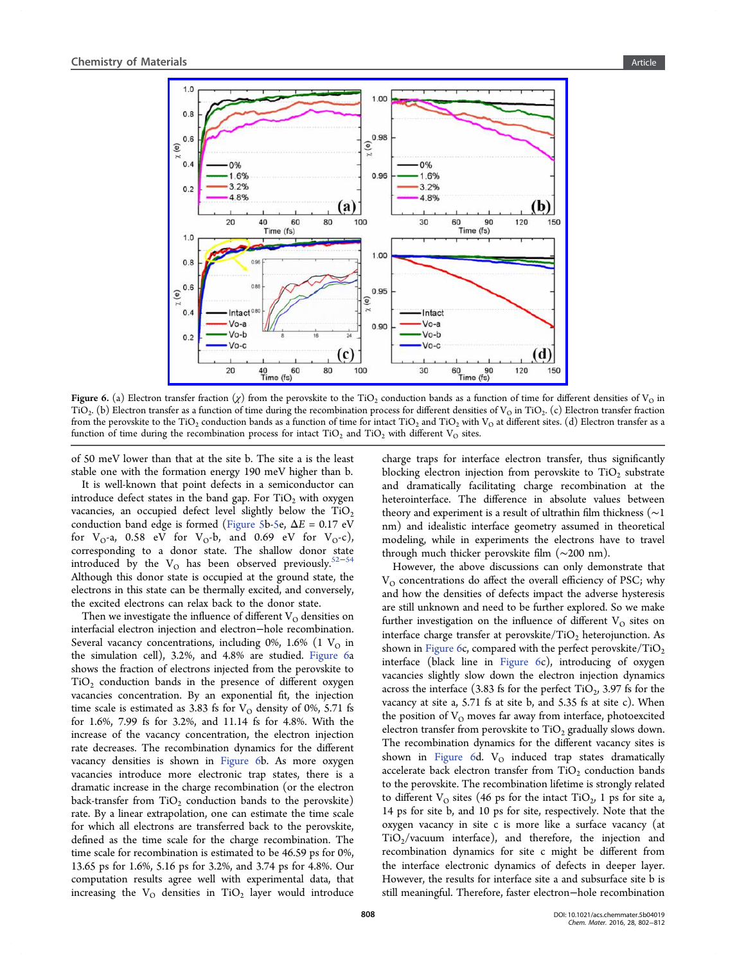

Figure 6. (a) Electron transfer fraction ( $\chi$ ) from the perovskite to the TiO<sub>2</sub> conduction bands as a function of time for different densities of V<sub>O</sub> in  $TiO<sub>2</sub>$ . (b) Electron trans[fer as a function of time during the recombination process for di](http://pubsdc3.acs.org/action/showImage?doi=10.1021/acs.chemmater.5b04019&iName=master.img-006.jpg&w=334&h=255)fferent densities of V<sub>O</sub> in TiO<sub>2</sub>. (c) Electron transfer fraction from the perovskite to the TiO<sub>2</sub> conduction bands as a function of time for intact TiO<sub>2</sub> and TiO<sub>2</sub> with V<sub>O</sub> at different sites. (d) Electron transfer as a function of time during the recombination process for intact  $TiO<sub>2</sub>$  and  $TiO<sub>2</sub>$  with different  $V<sub>O</sub>$  sites.

of 50 meV lower than that at the site b. The site a is the least stable one with the formation energy 190 meV higher than b.

It is well-known that point defects in a semiconductor can introduce defect states in the band gap. For  $TiO<sub>2</sub>$  with oxygen vacancies, an occupied defect level slightly below the  $TiO<sub>2</sub>$ conduction band edge is formed (Figure 5b-5e,  $\Delta E = 0.17$  eV for  $V_0$ -a, 0.58 eV for  $V_0$ -b, and 0.69 eV for  $V_0$ -c), corresponding to a donor state. [The shallo](#page-5-0)w donor state introduced by the V<sub>O</sub> has been observed previously.<sup>52–54</sup> Although this donor state is occupied at the ground state, the electrons in this state can be thermally excited, and conv[ersely,](#page-10-0) the excited electrons can relax back to the donor state.

Then we investigate the influence of different  $V<sub>O</sub>$  densities on interfacial electron injection and electron−hole recombination. Several vacancy concentrations, including 0%, 1.6% (1  $V<sub>O</sub>$  in the simulation cell), 3.2%, and 4.8% are studied. Figure 6a shows the fraction of electrons injected from the perovskite to  $TiO<sub>2</sub>$  conduction bands in the presence of different oxygen vacancies concentration. By an exponential fit, the injection time scale is estimated as 3.83 fs for  $V<sub>O</sub>$  density of 0%, 5.71 fs for 1.6%, 7.99 fs for 3.2%, and 11.14 fs for 4.8%. With the increase of the vacancy concentration, the electron injection rate decreases. The recombination dynamics for the different vacancy densities is shown in Figure 6b. As more oxygen vacancies introduce more electronic trap states, there is a dramatic increase in the charge recombination (or the electron back-transfer from  $TiO<sub>2</sub>$  conduction bands to the perovskite) rate. By a linear extrapolation, one can estimate the time scale for which all electrons are transferred back to the perovskite, defined as the time scale for the charge recombination. The time scale for recombination is estimated to be 46.59 ps for 0%, 13.65 ps for 1.6%, 5.16 ps for 3.2%, and 3.74 ps for 4.8%. Our computation results agree well with experimental data, that increasing the  $V_{O}$  densities in TiO<sub>2</sub> layer would introduce charge traps for interface electron transfer, thus significantly blocking electron injection from perovskite to  $TiO<sub>2</sub>$  substrate and dramatically facilitating charge recombination at the heterointerface. The difference in absolute values between theory and experiment is a result of ultrathin film thickness (∼1 nm) and idealistic interface geometry assumed in theoretical modeling, while in experiments the electrons have to travel through much thicker perovskite film (∼200 nm).

However, the above discussions can only demonstrate that  $V<sub>O</sub>$  concentrations do affect the overall efficiency of PSC; why and how the densities of defects impact the adverse hysteresis are still unknown and need to be further explored. So we make further investigation on the influence of different  $V<sub>O</sub>$  sites on interface charge transfer at perovskite/TiO<sub>2</sub> heterojunction. As shown in Figure 6c, compared with the perfect perovskite/ $TiO<sub>2</sub>$ interface (black line in Figure 6c), introducing of oxygen vacancies slightly slow down the electron injection dynamics across the interface (3.83 fs for the perfect  $TiO<sub>2</sub>$ , 3.97 fs for the vacancy at site a, 5.71 fs at site b, and 5.35 fs at site c). When the position of  $V<sub>O</sub>$  moves far away from interface, photoexcited electron transfer from perovskite to  $TiO<sub>2</sub>$  gradually slows down. The recombination dynamics for the different vacancy sites is shown in Figure 6d.  $V<sub>O</sub>$  induced trap states dramatically accelerate back electron transfer from  $TiO<sub>2</sub>$  conduction bands to the perovskite. The recombination lifetime is strongly related to different  $V_{\Omega}$  sites (46 ps for the intact TiO<sub>2</sub>, 1 ps for site a, 14 ps for site b, and 10 ps for site, respectively. Note that the oxygen vacancy in site c is more like a surface vacancy (at  $TiO<sub>2</sub>/vacuum$  interface), and therefore, the injection and recombination dynamics for site c might be different from the interface electronic dynamics of defects in deeper layer. However, the results for interface site a and subsurface site b is still meaningful. Therefore, faster electron−hole recombination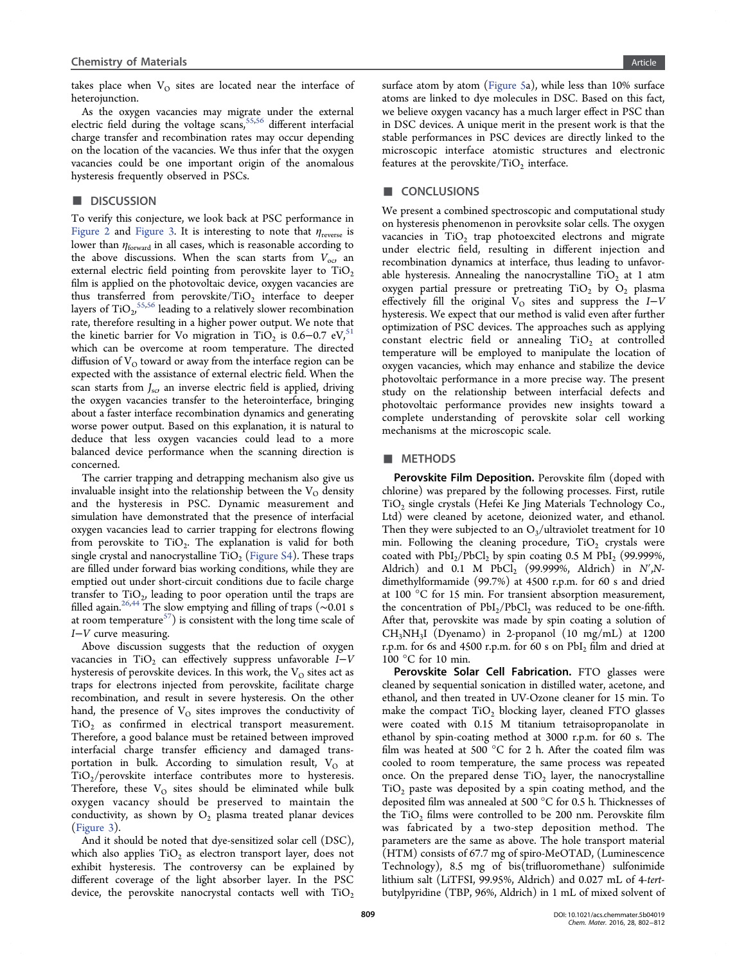takes place when  $V_{\Omega}$  sites are located near the interface of heterojunction.

As the oxygen vacancies may migrate under the external electric field during the voltage scans,  $55,56$  different interfacial charge transfer and recombination rates may occur depending on the location of the vacancies. We t[hus in](#page-10-0)fer that the oxygen vacancies could be one important origin of the anomalous hysteresis frequently observed in PSCs.

## ■ DISCUSSION

To verify this conjecture, we look back at PSC performance in Figure 2 and Figure 3. It is interesting to note that  $\eta_{\text{reverse}}$  is lower than  $\eta_{\text{forward}}$  in all cases, which is reasonable according to [the abov](#page-2-0)e di[scussions.](#page-3-0) When the scan starts from  $V_{\text{oo}}$  an external electric field pointing from perovskite layer to  $TiO<sub>2</sub>$ film is applied on the photovoltaic device, oxygen vacancies are thus transferred from perovskite/TiO<sub>2</sub> interface to deeper layers of  $\text{TiO}_{2}^{\quad 55,56}$  leading to a relatively slower recombination rate, therefore resulting in a higher power output. We note that the kinetic ba[rrier](#page-10-0) for Vo migration in TiO<sub>2</sub> is 0.6–0.7 eV,<sup>51</sup> which can be overcome at room temperature. The directed diffusion of  $V<sub>O</sub>$  toward or away from the interface region can [be](#page-10-0) expected with the assistance of external electric field. When the scan starts from  $J_{\rm sc}$ , an inverse electric field is applied, driving the oxygen vacancies transfer to the heterointerface, bringing about a faster interface recombination dynamics and generating worse power output. Based on this explanation, it is natural to deduce that less oxygen vacancies could lead to a more balanced device performance when the scanning direction is concerned.

The carrier trapping and detrapping mechanism also give us invaluable insight into the relationship between the  $V_O$  density and the hysteresis in PSC. Dynamic measurement and simulation have demonstrated that the presence of interfacial oxygen vacancies lead to carrier trapping for electrons flowing from perovskite to  $TiO<sub>2</sub>$ . The explanation is valid for both single crystal and nanocrystalline  $TiO<sub>2</sub>$  (Figure S4). These traps are filled under forward bias working conditions, while they are emptied out under short-circuit conditi[ons due to](http://pubs.acs.org/doi/suppl/10.1021/acs.chemmater.5b04019/suppl_file/cm5b04019_si_001.pdf) facile charge transfer to  $TiO<sub>2</sub>$ , leading to poor operation until the traps are filled again.26,44 The slow emptying and filling of traps (∼0.01 s at room temperature $^{57}$ ) is consistent with the long time scale of I−V curve [m](#page-9-0)[eas](#page-10-0)uring.

Above discussion [s](#page-10-0)uggests that the reduction of oxygen vacancies in TiO<sub>2</sub> can effectively suppress unfavorable  $I-V$ hysteresis of perovskite devices. In this work, the  $V_{O}$  sites act as traps for electrons injected from perovskite, facilitate charge recombination, and result in severe hysteresis. On the other hand, the presence of  $V<sub>O</sub>$  sites improves the conductivity of  $TiO<sub>2</sub>$  as confirmed in electrical transport measurement. Therefore, a good balance must be retained between improved interfacial charge transfer efficiency and damaged transportation in bulk. According to simulation result,  $V_O$  at  $TiO<sub>2</sub>/perovskite$  interface contributes more to hysteresis. Therefore, these  $V<sub>O</sub>$  sites should be eliminated while bulk oxygen vacancy should be preserved to maintain the conductivity, as shown by  $O_2$  plasma treated planar devices (Figure 3).

And it should be noted that dye-sensitized solar cell (DSC), [which also](#page-3-0) applies  $TiO<sub>2</sub>$  as electron transport layer, does not exhibit hysteresis. The controversy can be explained by different coverage of the light absorber layer. In the PSC device, the perovskite nanocrystal contacts well with  $TiO<sub>2</sub>$  surface atom by atom (Figure 5a), while less than 10% surface atoms are linked to dye molecules in DSC. Based on this fact, we believe oxygen vaca[ncy has a](#page-5-0) much larger effect in PSC than in DSC devices. A unique merit in the present work is that the stable performances in PSC devices are directly linked to the microscopic interface atomistic structures and electronic features at the perovskite/ $TiO<sub>2</sub>$  interface.

#### ■ CONCLUSIONS

We present a combined spectroscopic and computational study on hysteresis phenomenon in perovksite solar cells. The oxygen vacancies in  $TiO<sub>2</sub>$  trap photoexcited electrons and migrate under electric field, resulting in different injection and recombination dynamics at interface, thus leading to unfavorable hysteresis. Annealing the nanocrystalline  $TiO<sub>2</sub>$  at 1 atm oxygen partial pressure or pretreating  $TiO<sub>2</sub>$  by  $O<sub>2</sub>$  plasma effectively fill the original  $V<sub>O</sub>$  sites and suppress the I-V hysteresis. We expect that our method is valid even after further optimization of PSC devices. The approaches such as applying constant electric field or annealing  $TiO<sub>2</sub>$  at controlled temperature will be employed to manipulate the location of oxygen vacancies, which may enhance and stabilize the device photovoltaic performance in a more precise way. The present study on the relationship between interfacial defects and photovoltaic performance provides new insights toward a complete understanding of perovskite solar cell working mechanisms at the microscopic scale.

## ■ METHODS

Perovskite Film Deposition. Perovskite film (doped with chlorine) was prepared by the following processes. First, rutile  $TiO<sub>2</sub>$  single crystals (Hefei Ke Jing Materials Technology Co., Ltd) were cleaned by acetone, deionized water, and ethanol. Then they were subjected to an  $O_3$ /ultraviolet treatment for 10 min. Following the cleaning procedure,  $TiO<sub>2</sub>$  crystals were coated with  $PbI_2/PbCl_2$  by spin coating 0.5 M  $PbI_2$  (99.999%, Aldrich) and 0.1 M PbCl<sub>2</sub> (99.999%, Aldrich) in  $N^{\prime}$ , Ndimethylformamide (99.7%) at 4500 r.p.m. for 60 s and dried at 100 °C for 15 min. For transient absorption measurement, the concentration of  $PbI_2/PbCl_2$  was reduced to be one-fifth. After that, perovskite was made by spin coating a solution of  $CH<sub>3</sub>NH<sub>3</sub>I$  (Dyenamo) in 2-propanol (10 mg/mL) at 1200 r.p.m. for 6s and 4500 r.p.m. for 60 s on PbI<sub>2</sub> film and dried at 100 °C for 10 min.

Perovskite Solar Cell Fabrication. FTO glasses were cleaned by sequential sonication in distilled water, acetone, and ethanol, and then treated in UV-Ozone cleaner for 15 min. To make the compact  $TiO<sub>2</sub>$  blocking layer, cleaned FTO glasses were coated with 0.15 M titanium tetraisopropanolate in ethanol by spin-coating method at 3000 r.p.m. for 60 s. The film was heated at 500 °C for 2 h. After the coated film was cooled to room temperature, the same process was repeated once. On the prepared dense  $TiO<sub>2</sub>$  layer, the nanocrystalline  $TiO<sub>2</sub>$  paste was deposited by a spin coating method, and the deposited film was annealed at 500 °C for 0.5 h. Thicknesses of the  $TiO<sub>2</sub>$  films were controlled to be 200 nm. Perovskite film was fabricated by a two-step deposition method. The parameters are the same as above. The hole transport material (HTM) consists of 67.7 mg of spiro-MeOTAD, (Luminescence Technology), 8.5 mg of bis(trifluoromethane) sulfonimide lithium salt (LiTFSI, 99.95%, Aldrich) and 0.027 mL of 4-tertbutylpyridine (TBP, 96%, Aldrich) in 1 mL of mixed solvent of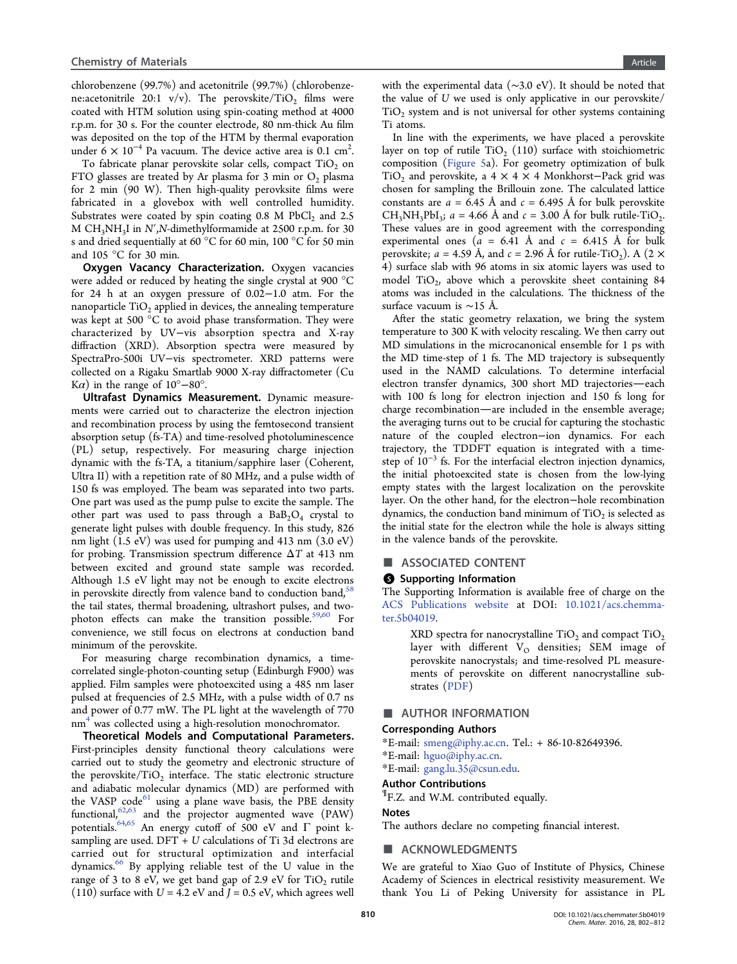<span id="page-8-0"></span>chlorobenzene (99.7%) and acetonitrile (99.7%) (chlorobenzene:acetonitrile 20:1 v/v). The perovskite/TiO<sub>2</sub> films were coated with HTM solution using spin-coating method at 4000 r.p.m. for 30 s. For the counter electrode, 80 nm-thick Au film was deposited on the top of the HTM by thermal evaporation under 6  $\times$  10<sup>-4</sup> Pa vacuum. The device active area is 0.1 cm<sup>2</sup>. .

To fabricate planar perovskite solar cells, compact  $TiO<sub>2</sub>$  on FTO glasses are treated by Ar plasma for 3 min or  $O_2$  plasma for 2 min (90 W). Then high-quality perovksite films were fabricated in a glovebox with well controlled humidity. Substrates were coated by spin coating  $0.8$  M PbCl<sub>2</sub> and  $2.5$ M  $CH<sub>3</sub>NH<sub>3</sub>I$  in N',N-dimethylformamide at 2500 r.p.m. for 30 s and dried sequentially at 60 °C for 60 min, 100 °C for 50 min and 105 °C for 30 min.

Oxygen Vacancy Characterization. Oxygen vacancies were added or reduced by heating the single crystal at 900 °C for 24 h at an oxygen pressure of 0.02−1.0 atm. For the nanoparticle  $TiO<sub>2</sub>$  applied in devices, the annealing temperature was kept at 500 °C to avoid phase transformation. They were characterized by UV−vis absorption spectra and X-ray diffraction (XRD). Absorption spectra were measured by SpectraPro-500i UV−vis spectrometer. XRD patterns were collected on a Rigaku Smartlab 9000 X-ray diffractometer (Cu K $\alpha$ ) in the range of 10°–80°.

Ultrafast Dynamics Measurement. Dynamic measurements were carried out to characterize the electron injection and recombination process by using the femtosecond transient absorption setup (fs-TA) and time-resolved photoluminescence (PL) setup, respectively. For measuring charge injection dynamic with the fs-TA, a titanium/sapphire laser (Coherent, Ultra II) with a repetition rate of 80 MHz, and a pulse width of 150 fs was employed. The beam was separated into two parts. One part was used as the pump pulse to excite the sample. The other part was used to pass through a  $BaB_2O_4$  crystal to generate light pulses with double frequency. In this study, 826 nm light (1.5 eV) was used for pumping and 413 nm (3.0 eV) for probing. Transmission spectrum difference ΔT at 413 nm between excited and ground state sample was recorded. Although 1.5 eV light may not be enough to excite electrons in perovskite directly from valence band to conduction band, $58$ the tail states, thermal broadening, ultrashort pulses, and twophoton effects can make the transition possible.<sup>59,60</sup> F[or](#page-10-0) convenience, we still focus on electrons at conduction band minimum of the perovskite.

For measuring charge recombination dynamics, a timecorrelated single-photon-counting setup (Edinburgh F900) was applied. Film samples were photoexcited using a 485 nm laser pulsed at frequencies of 2.5 MHz, with a pulse width of 0.7 ns and power of 0.77 mW. The PL light at the wavelength of 770 nm<sup>4</sup> was collected using a high-resolution monochromator.

Theoretical Models and Computational Parameters. Fir[st](#page-9-0)-principles density functional theory calculations were carried out to study the geometry and electronic structure of the perovskite/ $TiO<sub>2</sub>$  interface. The static electronic structure and adiabatic molecular dynamics (MD) are performed with the VASP code<sup>61</sup> using a plane wave basis, the PBE density functional,  $62,63$  and the projector augmented wave (PAW) potentials.<sup>64,65</sup> [An](#page-10-0) energy cutoff of 500 eV and  $\Gamma$  point ksampling [are us](#page-10-0)ed.  $DFT + U$  calculations of Ti 3d electrons are carried [out](#page-10-0) for structural optimization and interfacial dynamics.66 By applying reliable test of the U value in the range of 3 to 8 eV, we get band gap of 2.9 eV for  $TiO<sub>2</sub>$  rutile (110) sur[fac](#page-10-0)e with  $U = 4.2$  eV and  $J = 0.5$  eV, which agrees well

with the experimental data (∼3.0 eV). It should be noted that the value of U we used is only applicative in our perovskite/  $TiO<sub>2</sub>$  system and is not universal for other systems containing Ti atoms.

In line with the experiments, we have placed a perovskite layer on top of rutile  $TiO<sub>2</sub>$  (110) surface with stoichiometric composition (Figure 5a). For geometry optimization of bulk TiO<sub>2</sub> and perovskite, a 4  $\times$  4  $\times$  4 Monkhorst–Pack grid was chosen for sa[mpling th](#page-5-0)e Brillouin zone. The calculated lattice constants are  $a = 6.45$  Å and  $c = 6.495$  Å for bulk perovskite  $CH_3NH_3PbI_3$ ;  $a = 4.66$  Å and  $c = 3.00$  Å for bulk rutile-TiO<sub>2</sub>. These values are in good agreement with the corresponding experimental ones ( $a = 6.41$  Å and  $c = 6.415$  Å for bulk perovskite;  $a = 4.59$  Å, and  $c = 2.96$  Å for rutile-TiO<sub>2</sub>). A (2  $\times$ 4) surface slab with 96 atoms in six atomic layers was used to model TiO<sub>2</sub>, above which a perovskite sheet containing 84 atoms was included in the calculations. The thickness of the surface vacuum is ∼15 Å.

After the static geometry relaxation, we bring the system temperature to 300 K with velocity rescaling. We then carry out MD simulations in the microcanonical ensemble for 1 ps with the MD time-step of 1 fs. The MD trajectory is subsequently used in the NAMD calculations. To determine interfacial electron transfer dynamics, 300 short MD trajectories-each with 100 fs long for electron injection and 150 fs long for charge recombination—are included in the ensemble average; the averaging turns out to be crucial for capturing the stochastic nature of the coupled electron−ion dynamics. For each trajectory, the TDDFT equation is integrated with a timestep of  $10^{-3}$  fs. For the interfacial electron injection dynamics, the initial photoexcited state is chosen from the low-lying empty states with the largest localization on the perovskite layer. On the other hand, for the electron−hole recombination dynamics, the conduction band minimum of  $TiO<sub>2</sub>$  is selected as the initial state for the electron while the hole is always sitting in the valence bands of the perovskite.

## ■ ASSOCIATED CONTENT

## **6** Supporting Information

The Supporting Information is available free of charge on the ACS Publications website at DOI: 10.1021/acs.chemmater.5b04019.

[XRD spectra for nanoc](http://pubs.acs.org)rystalline  $TiO<sub>2</sub>$  and compact  $TiO<sub>2</sub>$ [layer](http://pubs.acs.org/doi/abs/10.1021/acs.chemmater.5b04019) with different  $V<sub>O</sub>$  densities; SEM image of perovskite nanocrystals; and time-resolved PL measurements of perovskite on different nanocrystalline substrates (PDF)

## ■ AUTHO[R INF](http://pubs.acs.org/doi/suppl/10.1021/acs.chemmater.5b04019/suppl_file/cm5b04019_si_001.pdf)ORMATION

## Corresponding Authors

- \*E-mail: smeng@iphy.ac.cn. Tel.: + 86-10-82649396.
- \*E-mail: hguo@iphy.ac.cn.
- \*E-mail: [gang.lu.35@csun.ed](mailto:smeng@iphy.ac.cn)u.

# Author [Contributions](mailto:hguo@iphy.ac.cn)

 $\P$ F.Z. an[d W.M. contributed e](mailto:gang.lu.35@csun.edu)qually.

## Notes

The authors declare no competing financial interest.

## ■ ACKNOWLEDGMENTS

We are grateful to Xiao Guo of Institute of Physics, Chinese Academy of Sciences in electrical resistivity measurement. We thank You Li of Peking University for assistance in PL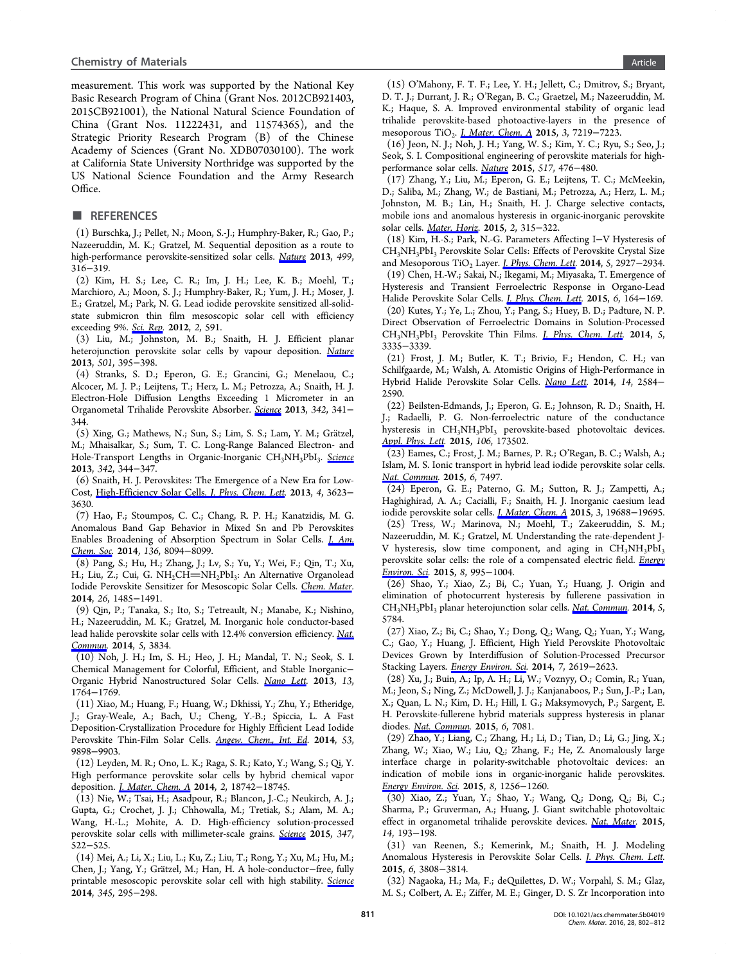<span id="page-9-0"></span>measurement. This work was supported by the National Key Basic Research Program of China (Grant Nos. 2012CB921403, 2015CB921001), the National Natural Science Foundation of China (Grant Nos. 11222431, and 11574365), and the Strategic Priority Research Program (B) of the Chinese Academy of Sciences (Grant No. XDB07030100). The work at California State University Northridge was supported by the US National Science Foundation and the Army Research Office.

## ■ REFERENCES

(1) Burschka, J.; Pellet, N.; Moon, S.-J.; Humphry-Baker, R.; Gao, P.; Nazeeruddin, M. K.; Gratzel, M. Sequential deposition as a route to high-performance perovskite-sensitized solar cells. Nature 2013, 499, 316−319.

(2) Kim, H. S.; Lee, C. R.; Im, J. H.; Lee, K. B.; Moehl, T.; Marchioro, A.; Moon, S. J.; Humphry-Baker, R.; Y[um,](http://pubs.acs.org/action/showLinks?pmid=23842493&crossref=10.1038%2Fnature12340&coi=1%3ACAS%3A528%3ADC%252BC3sXhtFShtbzL) [J.](http://pubs.acs.org/action/showLinks?pmid=23842493&crossref=10.1038%2Fnature12340&coi=1%3ACAS%3A528%3ADC%252BC3sXhtFShtbzL) [H](http://pubs.acs.org/action/showLinks?pmid=23842493&crossref=10.1038%2Fnature12340&coi=1%3ACAS%3A528%3ADC%252BC3sXhtFShtbzL).; Moser, J. E.; Gratzel, M.; Park, N. G. Lead iodide perovskite sensitized all-solidstate submicron thin film mesoscopic solar cell with efficiency exceeding 9%. Sci. Rep. 2012, 2, 591.

(3) Liu, M.; Johnston, M. B.; Snaith, H. J. Efficient planar heterojunction [perovsk](http://pubs.acs.org/action/showLinks?pmid=22912919&crossref=10.1038%2Fsrep00591&coi=1%3ACAS%3A280%3ADC%252BC38bgtlCksw%253D%253D)ite solar cells by vapour deposition. Nature 2013, 501, 395−398.

(4) Stranks, S. D.; Eperon, G. E.; Grancini, G.; Menelaou, C.; Alcocer, M. J. P.; Leijtens, T.; Herz, L. M.; Petrozza, A.; Snait[h,](http://pubs.acs.org/action/showLinks?pmid=24025775&crossref=10.1038%2Fnature12509&coi=1%3ACAS%3A528%3ADC%252BC3sXhsVWrurbE) [H.](http://pubs.acs.org/action/showLinks?pmid=24025775&crossref=10.1038%2Fnature12509&coi=1%3ACAS%3A528%3ADC%252BC3sXhsVWrurbE) [J.](http://pubs.acs.org/action/showLinks?pmid=24025775&crossref=10.1038%2Fnature12509&coi=1%3ACAS%3A528%3ADC%252BC3sXhsVWrurbE) Electron-Hole Diffusion Lengths Exceeding 1 Micrometer in an Organometal Trihalide Perovskite Absorber. Science 2013, 342, 341− 344.

(5) Xing, G.; Mathews, N.; Sun, S.; Lim, S. S.; Lam, Y. M.; Grätzel, M.; Mhaisalkar, S.; Sum, T. C. Long-Range [Balanc](http://pubs.acs.org/action/showLinks?pmid=24136964&crossref=10.1126%2Fscience.1243982&coi=1%3ACAS%3A528%3ADC%252BC3sXhs1Wltr3K)ed Electron- and Hole-Transport Lengths in Organic-Inorganic CH<sub>3</sub>NH<sub>3</sub>PbI<sub>3</sub>. Science 2013, 342, 344−347.

(6) Snaith, H. J. Perovskites: The Emergence of a New Era fo[r Low-](http://pubs.acs.org/action/showLinks?pmid=24136965&crossref=10.1126%2Fscience.1243167&coi=1%3ACAS%3A528%3ADC%252BC3sXhs1Wltr3F)Cost, High-Efficiency Solar Cells. J. Phys. Chem. Lett. 2013, 4, 3623− 3630.

(7) Hao, F.; Stoumpos, C. C.; Chang, R. P. H.; Kanatzidis, M. G. Ano[malous](http://pubs.acs.org/action/showLinks?system=10.1021%2Fjz4020162&coi=1%3ACAS%3A528%3ADC%252BC3sXhsF2ls7rK) [Band](http://pubs.acs.org/action/showLinks?system=10.1021%2Fjz4020162&coi=1%3ACAS%3A528%3ADC%252BC3sXhsF2ls7rK) [Gap](http://pubs.acs.org/action/showLinks?system=10.1021%2Fjz4020162&coi=1%3ACAS%3A528%3ADC%252BC3sXhsF2ls7rK) [Behavior](http://pubs.acs.org/action/showLinks?system=10.1021%2Fjz4020162&coi=1%3ACAS%3A528%3ADC%252BC3sXhsF2ls7rK) [in](http://pubs.acs.org/action/showLinks?system=10.1021%2Fjz4020162&coi=1%3ACAS%3A528%3ADC%252BC3sXhsF2ls7rK) [Mixed](http://pubs.acs.org/action/showLinks?system=10.1021%2Fjz4020162&coi=1%3ACAS%3A528%3ADC%252BC3sXhsF2ls7rK) [Sn](http://pubs.acs.org/action/showLinks?system=10.1021%2Fjz4020162&coi=1%3ACAS%3A528%3ADC%252BC3sXhsF2ls7rK) [and](http://pubs.acs.org/action/showLinks?system=10.1021%2Fjz4020162&coi=1%3ACAS%3A528%3ADC%252BC3sXhsF2ls7rK) Pb Perovskites Enables Broadening of Absorption Spectrum in Solar Cells. J. Am. Chem. Soc. 2014, 136, 8094−8099.

(8) Pang, S.; Hu, H.; Zhang, J.; Lv, S.; Yu, Y.; Wei, F.; Qin, T.; Xu, [H.; Liu, Z](http://pubs.acs.org/action/showLinks?system=10.1021%2Fja5033259&pmid=24823301&coi=1%3ACAS%3A528%3ADC%252BC2cXotVahurw%253D).; Cui, G. NH<sub>2</sub>CH=NH<sub>2</sub>PbI<sub>3</sub>: An Alternative Orga[nolead](http://pubs.acs.org/action/showLinks?system=10.1021%2Fja5033259&pmid=24823301&coi=1%3ACAS%3A528%3ADC%252BC2cXotVahurw%253D) Iodide Perovskite Sensitizer for Mesoscopic Solar Cells. Chem. Mater. 2014, 26, 1485−1491.

(9) Qin, P.; Tanaka, S.; Ito, S.; Tetreault, N.; Manabe, K.; Nishino, H.; Nazeeruddin, M. K.; Gratzel, M. Inorganic hole co[nductor-based](http://pubs.acs.org/action/showLinks?system=10.1021%2Fcm404006p&coi=1%3ACAS%3A528%3ADC%252BC2cXpslCgsg%253D%253D) lead halide perovskite solar cells with 12.4% conversion efficiency. Nat. Commun. 2014, 5, 3834.

(10) Noh, J. H.; Im, S. H.; Heo, J. H.; Mandal, T. N.; Seok, [S. I.](http://pubs.acs.org/action/showLinks?pmid=24815001&coi=1%3ACAS%3A528%3ADC%252BC2cXhvF2mtbjN) Chemical Management for Colorful, Efficient, and Stable Inorganic− [Organic](http://pubs.acs.org/action/showLinks?pmid=24815001&coi=1%3ACAS%3A528%3ADC%252BC2cXhvF2mtbjN) Hybrid Nanostructured Solar Cells. Nano Lett. 2013, 13, 1764−1769.

(11) Xiao, M.; Huang, F.; Huang, W.; Dkhissi, Y.; Zhu, Y.; Etheridge, J.; Gray-Weale, A.; Bach, U.; Cheng, Y.-B.[;](http://pubs.acs.org/action/showLinks?system=10.1021%2Fnl400349b&pmid=23517331&coi=1%3ACAS%3A528%3ADC%252BC3sXksVyit7w%253D) [Spiccia,](http://pubs.acs.org/action/showLinks?system=10.1021%2Fnl400349b&pmid=23517331&coi=1%3ACAS%3A528%3ADC%252BC3sXksVyit7w%253D) L. A Fast Deposition-Crystallization Procedure for Highly Efficient Lead Iodide Perovskite Thin-Film Solar Cells. Angew. Chem., Int. Ed. 2014, 53, 9898−9903.

(12) Leyden, M. R.; Ono, L. K.; Raga, S. R.; Kato, Y.; Wang, S.; Qi, Y. High performance perovskite sola[r](http://pubs.acs.org/action/showLinks?pmid=25047967&crossref=10.1002%2Fanie.201405334&coi=1%3ACAS%3A528%3ADC%252BC2cXhtFyqurzE) [cells](http://pubs.acs.org/action/showLinks?pmid=25047967&crossref=10.1002%2Fanie.201405334&coi=1%3ACAS%3A528%3ADC%252BC2cXhtFyqurzE) [by](http://pubs.acs.org/action/showLinks?pmid=25047967&crossref=10.1002%2Fanie.201405334&coi=1%3ACAS%3A528%3ADC%252BC2cXhtFyqurzE) [hybrid](http://pubs.acs.org/action/showLinks?pmid=25047967&crossref=10.1002%2Fanie.201405334&coi=1%3ACAS%3A528%3ADC%252BC2cXhtFyqurzE) [chem](http://pubs.acs.org/action/showLinks?pmid=25047967&crossref=10.1002%2Fanie.201405334&coi=1%3ACAS%3A528%3ADC%252BC2cXhtFyqurzE)ical vapor deposition. J. Mater. Chem. A 2014, 2, 18742−18745.

(13) Nie, W.; Tsai, H.; Asadpour, R.; Blancon, J.-C.; Neukirch, A. J.; Gupta, G.; Crochet, J. J.; Chhowalla, M.; Tretiak, S.; Alam, M. A.; Wang, H.-[L.;](http://pubs.acs.org/action/showLinks?crossref=10.1039%2FC4TA04385E&coi=1%3ACAS%3A528%3ADC%252BC2cXhs1Wjsr7L) [Mohite,](http://pubs.acs.org/action/showLinks?crossref=10.1039%2FC4TA04385E&coi=1%3ACAS%3A528%3ADC%252BC2cXhs1Wjsr7L) [A.](http://pubs.acs.org/action/showLinks?crossref=10.1039%2FC4TA04385E&coi=1%3ACAS%3A528%3ADC%252BC2cXhs1Wjsr7L) D. High-efficiency solution-processed perovskite solar cells with millimeter-scale grains. Science 2015, 347, 522−525.

(14) Mei, A.; Li, X.; Liu, L.; Ku, Z.; Liu, T.; Rong, Y.; Xu, M.; Hu, M.; Chen, J.; Yang, Y.; Grätzel, M.; Han, H. A hole-co[nductor](http://pubs.acs.org/action/showLinks?pmid=25635093&crossref=10.1126%2Fscience.aaa0472&coi=1%3ACAS%3A528%3ADC%252BC2MXhsV2nsrg%253D)-free, fully printable mesoscopic perovskite solar cell with high stability. Science 2014, 345, 295−298.

(15) O'Mahony, F. T. F.; Lee, Y. H.; Jellett, C.; Dmitrov, S.; Bryant, D. T. J.; Durrant, J. R.; O'Regan, B. C.; Graetzel, M.; Nazeeruddin, M. K.; Haque, S. A. Improved environmental stability of organic lead trihalide perovskite-based photoactive-layers in the presence of mesoporous TiO<sub>2</sub>. *J. Mater. Chem. A* 2015, 3, 7219–7223.

(16) Jeon, N. J.; Noh, J. H.; Yang, W. S.; Kim, Y. C.; Ryu, S.; Seo, J.; Seok, S. I. Compos[itional engineering](http://pubs.acs.org/action/showLinks?crossref=10.1039%2FC5TA01221J&coi=1%3ACAS%3A528%3ADC%252BC2MXksVajurw%253D) of perovskite materials for highperformance solar cells. Nature 2015, 517, 476−480.

(17) Zhang, Y.; Liu, M.; Eperon, G. E.; Leijtens, T. C.; McMeekin, D.; Saliba, M.; Zhang, W.; de Bastiani, M.; Petrozza, A.; Herz, L. M.; Johnston, M. B.; Lin, [H.;](http://pubs.acs.org/action/showLinks?pmid=25561177&crossref=10.1038%2Fnature14133&coi=1%3ACAS%3A528%3ADC%252BC2MXivF2msg%253D%253D) [Sna](http://pubs.acs.org/action/showLinks?pmid=25561177&crossref=10.1038%2Fnature14133&coi=1%3ACAS%3A528%3ADC%252BC2MXivF2msg%253D%253D)ith, H. J. Charge selective contacts, mobile ions and anomalous hysteresis in organic-inorganic perovskite solar cells. Mater. Horiz. 2015, 2, 315−322.

(18) Kim, H.-S.; Park, N.-G. Parameters Affecting I−V Hysteresis of CH3NH3PbI3 Perovskite Solar Cells: Effects of Perovskite Crystal Size and Mesop[orous](http://pubs.acs.org/action/showLinks?crossref=10.1039%2FC4MH00238E&coi=1%3ACAS%3A528%3ADC%252BC2MXjs1Kntb8%253D) TiO<sub>2</sub> Layer. *J. Phys. Chem. Lett.* 2014, 5, 2927–2934. (19) Chen, H.-W.; Sakai, N.; Ikegami, M.; Miyasaka, T. Emergence of

Hysteresis and Transient Ferroelectric Response in Organo-Lead Halide Perovskite Solar Cells. *[J.](http://pubs.acs.org/action/showLinks?system=10.1021%2Fjz501392m&pmid=26278238&coi=1%3ACAS%3A528%3ADC%252BC2cXhtleqtrrM) [Phys.](http://pubs.acs.org/action/showLinks?system=10.1021%2Fjz501392m&pmid=26278238&coi=1%3ACAS%3A528%3ADC%252BC2cXhtleqtrrM) [Chem.](http://pubs.acs.org/action/showLinks?system=10.1021%2Fjz501392m&pmid=26278238&coi=1%3ACAS%3A528%3ADC%252BC2cXhtleqtrrM) [Let](http://pubs.acs.org/action/showLinks?system=10.1021%2Fjz501392m&pmid=26278238&coi=1%3ACAS%3A528%3ADC%252BC2cXhtleqtrrM)t.* 2015, 6, 164-169.

(20) Kutes, Y.; Ye, L.; Zhou, Y.; Pang, S.; Huey, B. D.; Padture, N. P. Direct Observation of Ferroe[lectric Domains in](http://pubs.acs.org/action/showLinks?system=10.1021%2Fjz502429u&pmid=26263106&coi=1%3ACAS%3A528%3ADC%252BC2cXitFehsL3K) Solution-Processed CH<sub>3</sub>NH<sub>3</sub>PbI<sub>3</sub> Perovskite Thin Films. *J. Phys. Chem. Lett.* 2014, 5, 3335−3339.

(21) Frost, J. M.; Butler, K. T.; Brivio, F.; Hendon, C. H.; van Schilfgaarde, M.; Walsh, A. Atomistic [Origins](http://pubs.acs.org/action/showLinks?system=10.1021%2Fjz501697b&pmid=26278441&coi=1%3ACAS%3A528%3ADC%252BC2cXhsFCjsbrO) [of](http://pubs.acs.org/action/showLinks?system=10.1021%2Fjz501697b&pmid=26278441&coi=1%3ACAS%3A528%3ADC%252BC2cXhsFCjsbrO) [High-Perfo](http://pubs.acs.org/action/showLinks?system=10.1021%2Fjz501697b&pmid=26278441&coi=1%3ACAS%3A528%3ADC%252BC2cXhsFCjsbrO)rmance in Hybrid Halide Perovskite Solar Cells. Nano Lett. 2014, 14, 2584− 2590.

(22) Beilsten-Edmands, J.; Eperon, G. E.; Johnson, R. D.; Snaith, H. J.; Radaelli, P. G. Non-ferroelectric [nature](http://pubs.acs.org/action/showLinks?system=10.1021%2Fnl500390f&pmid=24684284&coi=1%3ACAS%3A528%3ADC%252BC2cXltF2nu7Y%253D) [of](http://pubs.acs.org/action/showLinks?system=10.1021%2Fnl500390f&pmid=24684284&coi=1%3ACAS%3A528%3ADC%252BC2cXltF2nu7Y%253D) the conductance hysteresis in CH<sub>3</sub>NH<sub>3</sub>PbI<sub>3</sub> perovskite-based photovoltaic devices. Appl. Phys. Lett. 2015, 106, 173502.

(23) Eames, C.; Frost, J. M.; Barnes, P. R.; O'Regan, B. C.; Walsh, A.; Islam, M. S. Ionic transport in hybrid lead iodide perovskite solar cells. [Nat.](http://pubs.acs.org/action/showLinks?crossref=10.1063%2F1.4919109&coi=1%3ACAS%3A528%3ADC%252BC2MXnt1Witrw%253D) [Commun.](http://pubs.acs.org/action/showLinks?crossref=10.1063%2F1.4919109&coi=1%3ACAS%3A528%3ADC%252BC2MXnt1Witrw%253D) 2015, 6, 7497.

(24) Eperon, G. E.; Paterno, G. M.; Sutton, R. J.; Zampetti, A.; Haghighirad, A. A.; Cacialli, F.; Snaith, H. J. Inorganic caesium lead [iodide](http://pubs.acs.org/action/showLinks?pmid=26105623&crossref=10.1038%2Fncomms8497&coi=1%3ACAS%3A528%3ADC%252BC2MXhtF2ktr3L) [perovsk](http://pubs.acs.org/action/showLinks?pmid=26105623&crossref=10.1038%2Fncomms8497&coi=1%3ACAS%3A528%3ADC%252BC2MXhtF2ktr3L)ite solar cells. J. Mater. Chem. A 2015, 3, 19688−19695. (25) Tress, W.; Marinova, N.; Moehl, T.; Zakeeruddin, S. M.; Nazeeruddin, M. K.; Gratzel, M. Understanding the rate-dependent JV hysteresis, slow time c[omponent,](http://pubs.acs.org/action/showLinks?crossref=10.1039%2FC5TA06398A&coi=1%3ACAS%3A528%3ADC%252BC2MXhsVGjtbbJ) [and](http://pubs.acs.org/action/showLinks?crossref=10.1039%2FC5TA06398A&coi=1%3ACAS%3A528%3ADC%252BC2MXhsVGjtbbJ) [a](http://pubs.acs.org/action/showLinks?crossref=10.1039%2FC5TA06398A&coi=1%3ACAS%3A528%3ADC%252BC2MXhsVGjtbbJ)ging in  $CH<sub>3</sub>NH<sub>3</sub>PbI<sub>3</sub>$ perovskite solar cells: the role of a compensated electric field. Energy

Environ. Sci. 2015, 8, 995−1004. (26) Shao, Y.; Xiao, Z.; Bi, C.; Yuan, Y.; Huang, J. Origin and elimination of photocurrent hysteresis by fullerene passivat[ion](http://pubs.acs.org/action/showLinks?crossref=10.1039%2FC4EE03664F&coi=1%3ACAS%3A528%3ADC%252BC2MXjtVGhsQ%253D%253D) [in](http://pubs.acs.org/action/showLinks?crossref=10.1039%2FC4EE03664F&coi=1%3ACAS%3A528%3ADC%252BC2MXjtVGhsQ%253D%253D) CH<sub>3</sub>NH<sub>3</sub>PbI<sub>3</sub> planar heterojunction solar cells. *Nat. Commun.* 2014, 5, 5784.

(27) Xiao, Z.; Bi, C.; Shao, Y.; Dong, Q.; Wang, Q.; Yuan, Y.; Wang, C.; Gao, Y.; Huang, J. Efficient, High Yield [Perovskite](http://pubs.acs.org/action/showLinks?pmid=25503258&crossref=10.1038%2Fncomms6784&coi=1%3ACAS%3A280%3ADC%252BC2MvgtFClsA%253D%253D) [Pho](http://pubs.acs.org/action/showLinks?pmid=25503258&crossref=10.1038%2Fncomms6784&coi=1%3ACAS%3A280%3ADC%252BC2MvgtFClsA%253D%253D)tovoltaic Devices Grown by Interdiffusion of Solution-Processed Precursor Stacking Layers. Energy Environ. Sci. 2014, 7, 2619−2623.

(28) Xu, J.; Buin, A.; Ip, A. H.; Li, W.; Voznyy, O.; Comin, R.; Yuan, M.; Jeon, S.; Ning, Z.; McDowell, J. J.; Kanjanaboos, P.; Sun, J.-P.; Lan, X.; Quan, L. N.; [Kim,](http://pubs.acs.org/action/showLinks?crossref=10.1039%2FC4EE01138D&coi=1%3ACAS%3A528%3ADC%252BC2cXht1CltL3P) [D.](http://pubs.acs.org/action/showLinks?crossref=10.1039%2FC4EE01138D&coi=1%3ACAS%3A528%3ADC%252BC2cXht1CltL3P) [H.;](http://pubs.acs.org/action/showLinks?crossref=10.1039%2FC4EE01138D&coi=1%3ACAS%3A528%3ADC%252BC2cXht1CltL3P) [Hill,](http://pubs.acs.org/action/showLinks?crossref=10.1039%2FC4EE01138D&coi=1%3ACAS%3A528%3ADC%252BC2cXht1CltL3P) [I.](http://pubs.acs.org/action/showLinks?crossref=10.1039%2FC4EE01138D&coi=1%3ACAS%3A528%3ADC%252BC2cXht1CltL3P) G.; Maksymovych, P.; Sargent, E. H. Perovskite-fullerene hybrid materials suppress hysteresis in planar diodes. Nat. Commun. 2015, 6, 7081.

(29) Zhao, Y.; Liang, C.; Zhang, H.; Li, D.; Tian, D.; Li, G.; Jing, X.; Zhang, W.; Xiao, W.; Liu, Q.; Zhang, F.; He, Z. Anomalously large interfac[e](http://pubs.acs.org/action/showLinks?pmid=25953105&crossref=10.1038%2Fncomms8081&coi=1%3ACAS%3A280%3ADC%252BC2MfitVWntg%253D%253D) [charge](http://pubs.acs.org/action/showLinks?pmid=25953105&crossref=10.1038%2Fncomms8081&coi=1%3ACAS%3A280%3ADC%252BC2MfitVWntg%253D%253D) [in](http://pubs.acs.org/action/showLinks?pmid=25953105&crossref=10.1038%2Fncomms8081&coi=1%3ACAS%3A280%3ADC%252BC2MfitVWntg%253D%253D) polarity-switchable photovoltaic devices: an indication of mobile ions in organic-inorganic halide perovskites. Energy Environ. Sci. 2015, 8, 1256−1260.

(30) Xiao, Z.; Yuan, Y.; Shao, Y.; Wang, Q.; Dong, Q.; Bi, C.; Sharma, P.; Gruverman, A.; Huang, J. Giant switchable photovoltaic [effect](http://pubs.acs.org/action/showLinks?crossref=10.1039%2FC4EE04064C&coi=1%3ACAS%3A528%3ADC%252BC2MXislegsLw%253D) [in](http://pubs.acs.org/action/showLinks?crossref=10.1039%2FC4EE04064C&coi=1%3ACAS%3A528%3ADC%252BC2MXislegsLw%253D) [organome](http://pubs.acs.org/action/showLinks?crossref=10.1039%2FC4EE04064C&coi=1%3ACAS%3A528%3ADC%252BC2MXislegsLw%253D)tal trihalide perovskite devices. Nat. Mater. 2015, 14, 193−198.

(31) van Reenen, S.; Kemerink, M.; Snaith, H. J. Modeling Anomalous Hysteresis in Perovskite Solar Cells. *J. [Phys.](http://pubs.acs.org/action/showLinks?pmid=25485985&crossref=10.1038%2Fnmat4150&coi=1%3ACAS%3A528%3ADC%252BC2cXitVCks77I) [Chem](http://pubs.acs.org/action/showLinks?pmid=25485985&crossref=10.1038%2Fnmat4150&coi=1%3ACAS%3A528%3ADC%252BC2cXitVCks77I). Lett.* 2015, 6, 3808−3814.

(32) Nagaoka, H.; Ma, F.; deQuilettes, D. W.; Vorpahl, S. M.; Glaz, M. S.; Colbert, A. E.; Ziffer, M. E.; Ginger, D. S. Z[r](http://pubs.acs.org/action/showLinks?system=10.1021%2Facs.jpclett.5b01645&pmid=26722875&coi=1%3ACAS%3A528%3ADC%252BC2MXhsVKls7fP) [Incorporation](http://pubs.acs.org/action/showLinks?system=10.1021%2Facs.jpclett.5b01645&pmid=26722875&coi=1%3ACAS%3A528%3ADC%252BC2MXhsVKls7fP) [into](http://pubs.acs.org/action/showLinks?system=10.1021%2Facs.jpclett.5b01645&pmid=26722875&coi=1%3ACAS%3A528%3ADC%252BC2MXhsVKls7fP)